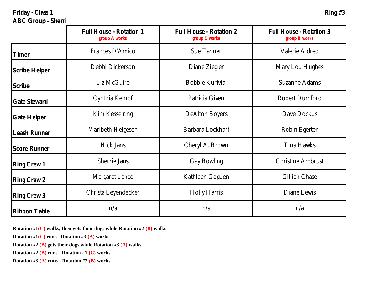**Friday - Class 1 Ring #3**

**ABC Group - Sherri**

|               | Full House - Rotation 1<br>group A works | Full House - Rotation 2<br>group C works | Full House - Rotation 3<br>group B works |
|---------------|------------------------------------------|------------------------------------------|------------------------------------------|
| Timer         | Frances D'Amico                          | Sue Tanner                               | Valerie Aldred                           |
| Scribe Helper | Debbi Dickerson                          | Diane Ziegler                            | Mary Lou Hughes                          |
| Scribe        | Liz McGuire                              | Bobbie Kurivial                          | Suzanne Adams                            |
| Gate Steward  | Cynthia Kempf                            | Patricia Given                           | Robert Dumford                           |
| Gate Helper   | Kim Kesselring                           | DeAlton Boyers                           | Dave Dockus                              |
| Leash Runner  | Maribeth Helgesen                        | Barbara Lockhart                         | Robin Egerter                            |
| Score Runner  | Nick Jans                                | Cheryl A. Brown                          | Tina Hawks                               |
| Ring Crew 1   | Sherrie Jans                             | Gay Bowling                              | Christine Ambrust                        |
| Ring Crew 2   | Margaret Lange                           | Kathleen Goguen                          | Gillian Chase                            |
| Ring Crew 3   | Christa Leyendecker                      | Holly Harris                             | Diane Lewis                              |
| Ribbon Table  | n/a                                      | n/a                                      | n/a                                      |

**Rotation #1(C) walks, then gets their dogs while Rotation #2 (B) walks**

**Rotation #1(C) runs - Rotation #3 (A) works**

**Rotation #2 (B) gets their dogs while Rotation #3 (A) walks**

**Rotation #2 (B) runs - Rotation #1 (C) works**

**Rotation #3 (A) runs - Rotation #2 (B) works**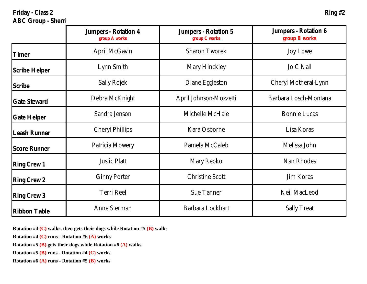Friday - Class 2 **Ring #2 Ring #2 ABC Group - Sherri**

|               | Jumpers - Rotation 4<br>group A works | Jumpers - Rotation 5<br>group C works | Jumpers - Rotation 6<br>group B works |
|---------------|---------------------------------------|---------------------------------------|---------------------------------------|
| Timer         | April McGavin                         | Sharon Tworek                         | Joy Lowe                              |
| Scribe Helper | Lynn Smith                            | Mary Hinckley                         | Jo C Nall                             |
| Scribe        | Sally Rojek                           | Diane Eggleston                       | Cheryl Motheral-Lynn                  |
| Gate Steward  | Debra McKnight                        | April Johnson-Mozzetti                | Barbara Losch-Montana                 |
| Gate Helper   | Sandra Jenson                         | Michelle McHale                       | <b>Bonnie Lucas</b>                   |
| Leash Runner  | Cheryl Phillips                       | Kara Osborne                          | Lisa Koras                            |
| Score Runner  | Patricia Mowery                       | Pamela McCaleb                        | Melissa John                          |
| Ring Crew 1   | Justic Platt                          | Mary Repko                            | Nan Rhodes                            |
| Ring Crew 2   | <b>Ginny Porter</b>                   | Christine Scott                       | Jim Koras                             |
| Ring Crew 3   | Terri Reel                            | Sue Tanner                            | Neil MacLeod                          |
| Ribbon Table  | Anne Sterman                          | Barbara Lockhart                      | Sally Treat                           |

**Rotation #4 (C) walks, then gets their dogs while Rotation #5 (B) walks**

**Rotation #4 (C) runs - Rotation #6 (A) works**

**Rotation #5 (B) gets their dogs while Rotation #6 (A) walks**

**Rotation #5 (B) runs - Rotation #4 (C) works**

**Rotation #6 (A) runs - Rotation #5 (B) works**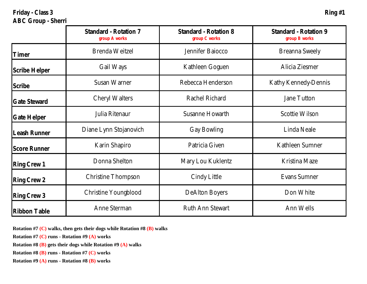**Friday - Class 3 Ring #1 ABC Group - Sherri**

|               | Standard - Rotation 7<br>group A works | Standard - Rotation 8<br>group C works | Standard - Rotation 9<br>group B works |
|---------------|----------------------------------------|----------------------------------------|----------------------------------------|
| Timer         | Brenda Weitzel                         | Jennifer Baiocco                       | Breanna Sweely                         |
| Scribe Helper | Gail Ways                              | Kathleen Goguen                        | Alicia Ziesmer                         |
| Scribe        | Susan Warner                           | Rebecca Henderson                      | Kathy Kennedy-Dennis                   |
| Gate Steward  | Cheryl Walters                         | Rachel Richard                         | Jane Tutton                            |
| Gate Helper   | Julia Ritenaur                         | Susanne Howarth                        | Scottie Wilson                         |
| Leash Runner  | Diane Lynn Stojanovich                 | Gay Bowling                            | Linda Neale                            |
| Score Runner  | Karin Shapiro                          | Patricia Given                         | Kathleen Sumner                        |
| Ring Crew 1   | Donna Shelton                          | Mary Lou Kuklentz                      | Kristina Maze                          |
| Ring Crew 2   | Christine Thompson                     | Cindy Little                           | Evans Sumner                           |
| Ring Crew 3   | Christine Youngblood                   | DeAlton Boyers                         | Don White                              |
| Ribbon Table  | Anne Sterman                           | Ruth Ann Stewart                       | Ann Wells                              |

**Rotation #7 (C) walks, then gets their dogs while Rotation #8 (B) walks**

**Rotation #7 (C) runs - Rotation #9 (A) works**

**Rotation #8 (B) gets their dogs while Rotation #9 (A) walks**

**Rotation #8 (B) runs - Rotation #7 (C) works**

**Rotation #9 (A) runs - Rotation #8 (B) works**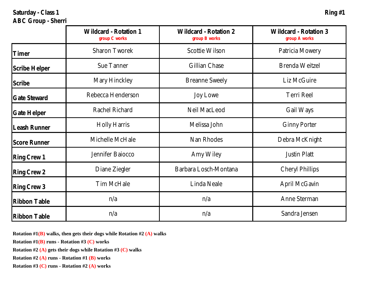Saturday - Class 1 **Ring #1** 

## **ABC Group - Sherri**

|               | Wildcard - Rotation 1<br>group C works | Wildcard - Rotation 2<br>group B works | Wildcard - Rotation 3<br>group A works |
|---------------|----------------------------------------|----------------------------------------|----------------------------------------|
| Timer         | Sharon Tworek                          | Scottie Wilson                         | Patricia Mowery                        |
| Scribe Helper | Sue Tanner                             | Gillian Chase                          | Brenda Weitzel                         |
| Scribe        | Mary Hinckley                          | <b>Breanne Sweely</b>                  | Liz McGuire                            |
| Gate Steward  | Rebecca Henderson                      | Joy Lowe                               | Terri Reel                             |
| Gate Helper   | Rachel Richard                         | Neil MacLeod                           | Gail Ways                              |
| Leash Runner  | Holly Harris                           | Melissa John                           | <b>Ginny Porter</b>                    |
| Score Runner  | Michelle McHale                        | Nan Rhodes                             | Debra McKnight                         |
| Ring Crew 1   | Jennifer Baiocco                       | Amy Wiley                              | Justin Platt                           |
| Ring Crew 2   | Diane Ziegler                          | Barbara Losch-Montana                  | Cheryl Phillips                        |
| Ring Crew 3   | Tim McHale                             | Linda Neale                            | April McGavin                          |
| Ribbon Table  | n/a                                    | n/a                                    | Anne Sterman                           |
| Ribbon Table  | n/a                                    | n/a                                    | Sandra Jensen                          |

**Rotation #1(B) walks, then gets their dogs while Rotation #2 (A) walks**

**Rotation #1(B) runs - Rotation #3 (C) works**

**Rotation #2 (A) gets their dogs while Rotation #3 (C) walks**

**Rotation #2 (A) runs - Rotation #1 (B) works**

**Rotation #3 (C) runs - Rotation #2 (A) works**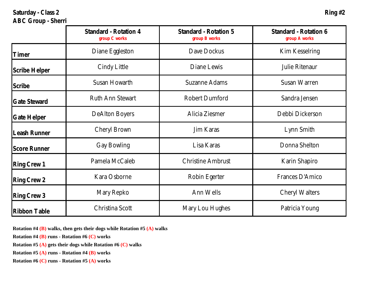Saturday - Class 2 **Ring #2 Ring #2** 

## **ABC Group - Sherri**

|               | Standard - Rotation 4<br>group C works | Standard - Rotation 5<br>group B works | Standard - Rotation 6<br>group A works |
|---------------|----------------------------------------|----------------------------------------|----------------------------------------|
| Timer         | Diane Eggleston                        | Dave Dockus                            | Kim Kesselring                         |
| Scribe Helper | Cindy Little                           | Diane Lewis                            | Julie Ritenaur                         |
| Scribe        | Susan Howarth                          | Suzanne Adams                          | Susan Warren                           |
| Gate Steward  | Ruth Ann Stewart                       | Robert Dumford                         | Sandra Jensen                          |
| Gate Helper   | DeAlton Boyers                         | Alicia Ziesmer                         | Debbi Dickerson                        |
| Leash Runner  | Cheryl Brown                           | Jim Karas                              | Lynn Smith                             |
| Score Runner  | Gay Bowling                            | Lisa Karas                             | Donna Shelton                          |
| Ring Crew 1   | Pamela McCaleb                         | Christine Ambrust                      | Karin Shapiro                          |
| Ring Crew 2   | Kara Osborne                           | Robin Egerter                          | Frances D'Amico                        |
| Ring Crew 3   | Mary Repko                             | Ann Wells                              | Cheryl Walters                         |
| Ribbon Table  | Christina Scott                        | Mary Lou Hughes                        | Patricia Young                         |

**Rotation #4 (B) walks, then gets their dogs while Rotation #5 (A) walks**

**Rotation #4 (B) runs - Rotation #6 (C) works**

**Rotation #5 (A) gets their dogs while Rotation #6 (C) walks**

**Rotation #5 (A) runs - Rotation #4 (B) works**

**Rotation #6 (C) runs - Rotation #5 (A) works**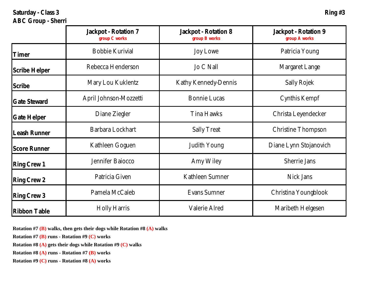**Saturday - Class 3 Ring #3 ABC Group - Sherri**

|               | Jackpot - Rotation 7<br>group C works | Jackpot - Rotation 8<br>group B works | Jackpot - Rotation 9<br>group A works |
|---------------|---------------------------------------|---------------------------------------|---------------------------------------|
| Timer         | Bobbie Kurivial                       | Joy Lowe                              | Patricia Young                        |
| Scribe Helper | Rebecca Henderson                     | Jo C Nall                             | Margaret Lange                        |
| Scribe        | Mary Lou Kuklentz                     | Kathy Kennedy-Dennis                  | Sally Rojek                           |
| Gate Steward  | April Johnson-Mozzetti                | Bonnie Lucas                          | Cynthis Kempf                         |
| Gate Helper   | Diane Ziegler                         | Tina Hawks                            | Christa Leyendecker                   |
| Leash Runner  | Barbara Lockhart                      | Sally Treat                           | Christine Thompson                    |
| Score Runner  | Kathleen Goguen                       | Judith Young                          | Diane Lynn Stojanovich                |
| Ring Crew 1   | Jennifer Baiocco                      | Amy Wiley                             | Sherrie Jans                          |
| Ring Crew 2   | Patricia Given                        | Kathleen Sumner                       | Nick Jans                             |
| Ring Crew 3   | Pamela McCaleb                        | Evans Sumner                          | Christina Youngblook                  |
| Ribbon Table  | Holly Harris                          | Valerie Alred                         | Maribeth Helgesen                     |

**Rotation #7 (B) walks, then gets their dogs while Rotation #8 (A) walks**

**Rotation #7 (B) runs - Rotation #9 (C) works**

**Rotation #8 (A) gets their dogs while Rotation #9 (C) walks**

**Rotation #8 (A) runs - Rotation #7 (B) works**

**Rotation #9 (C) runs - Rotation #8 (A) works**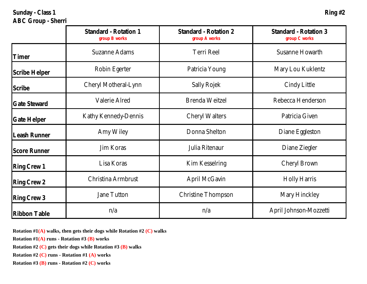**Sunday - Class 1 Ring #2 ABC Group - Sherri**

|               | Standard - Rotation 1<br>group B works | Standard - Rotation 2<br>group A works | Standard - Rotation 3<br>group C works |
|---------------|----------------------------------------|----------------------------------------|----------------------------------------|
| Timer         | Suzanne Adams                          | Terri Reel                             | Susanne Howarth                        |
| Scribe Helper | Robin Egerter                          | Patricia Young                         | Mary Lou Kuklentz                      |
| Scribe        | Cheryl Motheral-Lynn                   | Sally Rojek                            | Cindy Little                           |
| Gate Steward  | Valerie Alred                          | Brenda Weitzel                         | Rebecca Henderson                      |
| Gate Helper   | Kathy Kennedy-Dennis                   | Cheryl Walters                         | Patricia Given                         |
| Leash Runner  | Amy Wiley                              | Donna Shelton                          | Diane Eggleston                        |
| Score Runner  | Jim Koras                              | Julia Ritenaur                         | Diane Ziegler                          |
| Ring Crew 1   | Lisa Koras                             | Kim Kesselring                         | Cheryl Brown                           |
| Ring Crew 2   | Christina Armbrust                     | April McGavin                          | Holly Harris                           |
| Ring Crew 3   | Jane Tutton                            | Christine Thompson                     | Mary Hinckley                          |
| Ribbon Table  | n/a                                    | n/a                                    | April Johnson-Mozzetti                 |

**Rotation #1(A) walks, then gets their dogs while Rotation #2 (C) walks**

**Rotation #1(A) runs - Rotation #3 (B) works**

**Rotation #2 (C) gets their dogs while Rotation #3 (B) walks**

**Rotation #2 (C) runs - Rotation #1 (A) works**

**Rotation #3 (B) runs - Rotation #2 (C) works**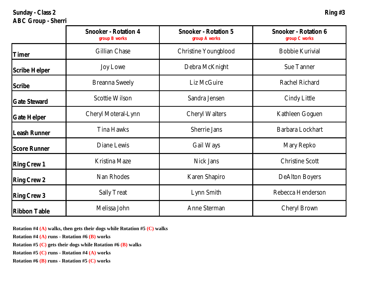**Sunday - Class 2 Ring #3 ABC Group - Sherri**

|               | Snooker - Rotation 4<br>group B works | Snooker - Rotation 5<br>group A works | Snooker - Rotation 6<br>group C works |
|---------------|---------------------------------------|---------------------------------------|---------------------------------------|
| Timer         | Gillian Chase                         | Christine Youngblood                  | Bobbie Kurivial                       |
| Scribe Helper | Joy Lowe                              | Debra McKnight                        | Sue Tanner                            |
| Scribe        | Breanna Sweely                        | Liz McGuire                           | Rachel Richard                        |
| Gate Steward  | Scottie Wilson                        | Sandra Jensen                         | Cindy Little                          |
| Gate Helper   | Cheryl Moteral-Lynn                   | Cheryl Walters                        | Kathleen Goguen                       |
| Leash Runner  | Tina Hawks                            | Sherrie Jans                          | Barbara Lockhart                      |
| Score Runner  | Diane Lewis                           | Gail Ways                             | Mary Repko                            |
| Ring Crew 1   | Kristina Maze                         | Nick Jans                             | Christine Scott                       |
| Ring Crew 2   | Nan Rhodes                            | Karen Shapiro                         | DeAlton Boyers                        |
| Ring Crew 3   | Sally Treat                           | Lynn Smith                            | Rebecca Henderson                     |
| Ribbon Table  | Melissa John                          | Anne Sterman                          | Cheryl Brown                          |

**Rotation #4 (A) walks, then gets their dogs while Rotation #5 (C) walks**

**Rotation #4 (A) runs - Rotation #6 (B) works**

**Rotation #5 (C) gets their dogs while Rotation #6 (B) walks**

**Rotation #5 (C) runs - Rotation #4 (A) works**

**Rotation #6 (B) runs - Rotation #5 (C) works**